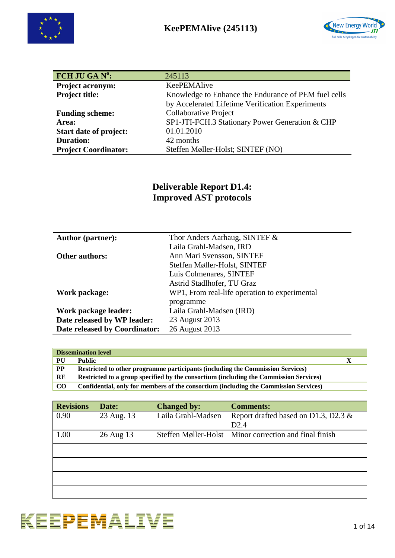



| FCH JU GA Nº:                 | 245113                                               |
|-------------------------------|------------------------------------------------------|
| <b>Project acronym:</b>       | KeePEMAlive                                          |
| <b>Project title:</b>         | Knowledge to Enhance the Endurance of PEM fuel cells |
|                               | by Accelerated Lifetime Verification Experiments     |
| <b>Funding scheme:</b>        | Collaborative Project                                |
| Area:                         | SP1-JTI-FCH.3 Stationary Power Generation & CHP      |
| <b>Start date of project:</b> | 01.01.2010                                           |
| <b>Duration:</b>              | 42 months                                            |
| <b>Project Coordinator:</b>   | Steffen Møller-Holst; SINTEF (NO)                    |

## **Deliverable Report D1.4: Improved AST protocols**

| <b>Author (partner):</b>      | Thor Anders Aarhaug, SINTEF &                 |
|-------------------------------|-----------------------------------------------|
|                               | Laila Grahl-Madsen, IRD                       |
| <b>Other authors:</b>         | Ann Mari Svensson, SINTEF                     |
|                               | Steffen Møller-Holst, SINTEF                  |
|                               | Luis Colmenares, SINTEF                       |
|                               | Astrid Stadlhofer, TU Graz                    |
| Work package:                 | WP1, From real-life operation to experimental |
|                               | programme                                     |
| Work package leader:          | Laila Grahl-Madsen (IRD)                      |
| Date released by WP leader:   | 23 August 2013                                |
| Date released by Coordinator: | 26 August 2013                                |

| <b>Dissemination level</b> |                                                                                       |  |  |
|----------------------------|---------------------------------------------------------------------------------------|--|--|
| PU                         | <b>Public</b>                                                                         |  |  |
| $\bf PP$                   | Restricted to other programme participants (including the Commission Services)        |  |  |
| RE                         | Restricted to a group specified by the consortium (including the Commission Services) |  |  |
| CO.                        | Confidential, only for members of the consortium (including the Commission Services)  |  |  |

| <b>Revisions</b> | Date:      | <b>Changed by:</b> | <b>Comments:</b>                                       |
|------------------|------------|--------------------|--------------------------------------------------------|
| 0.90             | 23 Aug. 13 | Laila Grahl-Madsen | Report drafted based on D1.3, D2.3 &                   |
|                  |            |                    | D2.4                                                   |
| 1.00             | 26 Aug 13  |                    | Steffen Møller-Holst Minor correction and final finish |
|                  |            |                    |                                                        |
|                  |            |                    |                                                        |
|                  |            |                    |                                                        |
|                  |            |                    |                                                        |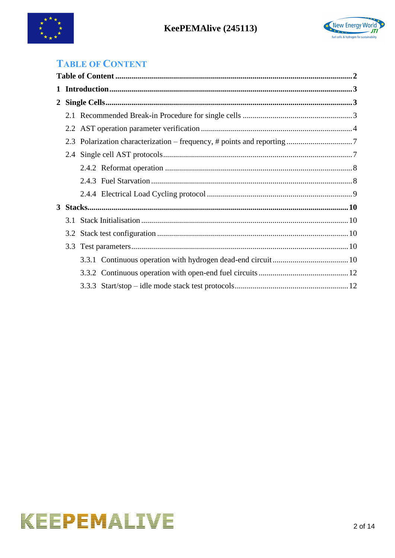



## <span id="page-1-0"></span>**TABLE OF CONTENT**

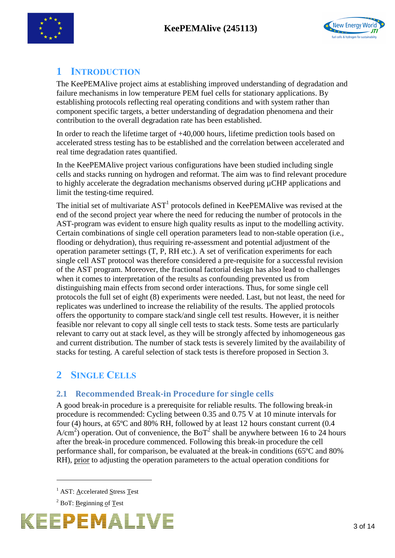



## <span id="page-2-0"></span>**1 INTRODUCTION**

The KeePEMAlive project aims at establishing improved understanding of degradation and failure mechanisms in low temperature PEM fuel cells for stationary applications. By establishing protocols reflecting real operating conditions and with system rather than component specific targets, a better understanding of degradation phenomena and their contribution to the overall degradation rate has been established.

In order to reach the lifetime target of +40,000 hours, lifetime prediction tools based on accelerated stress testing has to be established and the correlation between accelerated and real time degradation rates quantified.

In the KeePEMAlive project various configurations have been studied including single cells and stacks running on hydrogen and reformat. The aim was to find relevant procedure to highly accelerate the degradation mechanisms observed during µCHP applications and limit the testing-time required.

The initial set of multivariate  $AST<sup>1</sup>$  protocols defined in KeePEMAlive was revised at the end of the second project year where the need for reducing the number of protocols in the AST-program was evident to ensure high quality results as input to the modelling activity. Certain combinations of single cell operation parameters lead to non-stable operation (i.e., flooding or dehydration), thus requiring re-assessment and potential adjustment of the operation parameter settings (T, P, RH etc.). A set of verification experiments for each single cell AST protocol was therefore considered a pre-requisite for a successful revision of the AST program. Moreover, the fractional factorial design has also lead to challenges when it comes to interpretation of the results as confounding prevented us from distinguishing main effects from second order interactions. Thus, for some single cell protocols the full set of eight (8) experiments were needed. Last, but not least, the need for replicates was underlined to increase the reliability of the results. The applied protocols offers the opportunity to compare stack/and single cell test results. However, it is neither feasible nor relevant to copy all single cell tests to stack tests. Some tests are particularly relevant to carry out at stack level, as they will be strongly affected by inhomogeneous gas and current distribution. The number of stack tests is severely limited by the availability of stacks for testing. A careful selection of stack tests is therefore proposed in Section 3.

# <span id="page-2-1"></span>**2 SINGLE CELLS**

### <span id="page-2-2"></span>**2.1 Recommended Break-in Procedure for single cells**

A good break-in procedure is a prerequisite for reliable results. The following break-in procedure is recommended: Cycling between 0.35 and 0.75 V at 10 minute intervals for four (4) hours, at 65ºC and 80% RH, followed by at least 12 hours constant current (0.4 A/cm<sup>2</sup>) operation. Out of convenience, the BoT<sup>2</sup> shall be anywhere between 16 to 24 hours after the break-in procedure commenced. Following this break-in procedure the cell performance shall, for comparison, be evaluated at the break-in conditions (65ºC and 80% RH), prior to adjusting the operation parameters to the actual operation conditions for

<u>.</u>



<sup>&</sup>lt;sup>1</sup> AST: Accelerated Stress Test

 $2$  BoT: Beginning of Test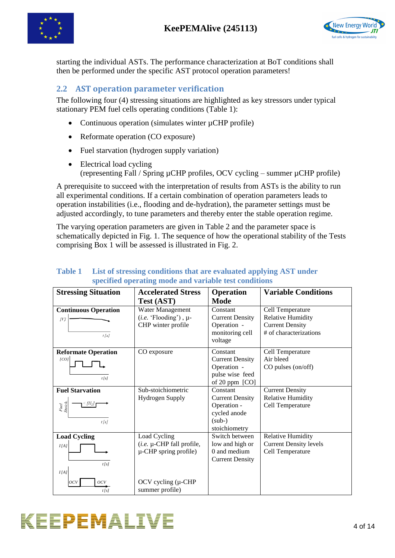



starting the individual ASTs. The performance characterization at BoT conditions shall then be performed under the specific AST protocol operation parameters!

## <span id="page-3-0"></span>**2.2 AST operation parameter verification**

The following four (4) stressing situations are highlighted as key stressors under typical stationary PEM fuel cells operating conditions (Table 1):

- Continuous operation (simulates winter  $\mu$ CHP profile)
- Reformate operation (CO exposure)
- Fuel starvation (hydrogen supply variation)
- Electrical load cycling (representing Fall / Spring µCHP profiles, OCV cycling – summer µCHP profile)

A prerequisite to succeed with the interpretation of results from ASTs is the ability to run all experimental conditions. If a certain combination of operation parameters leads to operation instabilities (i.e., flooding and de-hydration), the parameter settings must be adjusted accordingly, to tune parameters and thereby enter the stable operation regime.

The varying operation parameters are given in Table 2 and the parameter space is schematically depicted in Fig. 1. The sequence of how the operational stability of the Tests comprising Box 1 will be assessed is illustrated in [Fig. 2.](#page-4-0)

| <b>Stressing Situation</b>  | <b>Accelerated Stress</b>     | <b>Operation</b>                | <b>Variable Conditions</b>    |
|-----------------------------|-------------------------------|---------------------------------|-------------------------------|
|                             | <b>Test (AST)</b>             | <b>Mode</b>                     |                               |
| <b>Continuous Operation</b> | Water Management              | Constant                        | Cell Temperature              |
| [<]                         | $(i.e. 'Flooding')$ , $\mu$ - | <b>Current Density</b>          | <b>Relative Humidity</b>      |
|                             | CHP winter profile            | Operation -                     | <b>Current Density</b>        |
| $t/s$ ]                     |                               | monitoring cell                 | # of characterizations        |
|                             |                               | voltage                         |                               |
| <b>Reformate Operation</b>  | CO exposure                   | Constant                        | Cell Temperature              |
| [CO]                        |                               | <b>Current Density</b>          | Air bleed                     |
|                             |                               | Operation -                     | CO pulses (on/off)            |
| t[s]                        |                               | pulse wise feed                 |                               |
|                             |                               | of 20 ppm [CO]                  |                               |
| <b>Fuel Starvation</b>      | Sub-stoichiometric            | Constant                        | <b>Current Density</b>        |
|                             | <b>Hydrogen Supply</b>        | <b>Current Density</b>          | <b>Relative Humidity</b>      |
| Fuel<br>Stoich              |                               | Operation -                     | Cell Temperature              |
|                             |                               | cycled anode                    |                               |
| t[s]                        |                               | $(sub-)$                        |                               |
|                             |                               | stoichiometry                   |                               |
| <b>Load Cycling</b>         | Load Cycling                  | Switch between                  | <b>Relative Humidity</b>      |
| I[A]                        | (i.e. µ-CHP fall profile,     | low and high or<br>0 and medium | <b>Current Density levels</b> |
|                             | $\mu$ -CHP spring profile)    |                                 | Cell Temperature              |
| t[s]                        |                               | <b>Current Density</b>          |                               |
| I/A                         |                               |                                 |                               |
| OCV<br>$ _{OCV}$            | OCV cycling $(\mu$ -CHP       |                                 |                               |
| t[s]                        | summer profile)               |                                 |                               |

#### **Table 1 List of stressing conditions that are evaluated applying AST under specified operating mode and variable test conditions**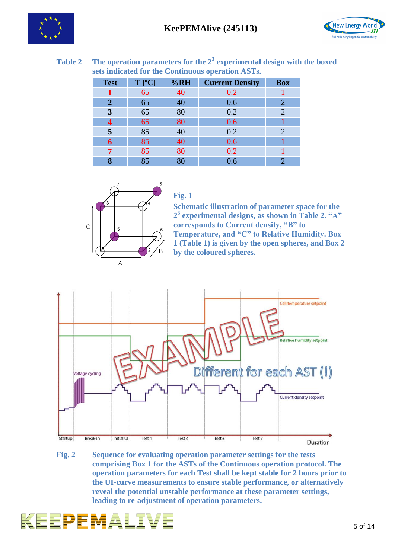



| <b>Test</b> | $T$ [°C] | %RH | <b>Current Density</b> | <b>Box</b> |
|-------------|----------|-----|------------------------|------------|
|             | 65       | 40  | 0.2                    |            |
| 2           | 65       | 40  | 0.6                    | 2          |
| 3           | 65       | 80  | 0.2                    | 2          |
|             | 65       | 80  | 0.6                    |            |
| 5           | 85       | 40  | 0.2                    | 2          |
| 6           | 85       | 40  | 0.6                    |            |
| 7           | 85       | 80  | 0.2                    |            |
|             | 85       | 80  | $0.6\,$                |            |

**Table 2 The operation parameters for the 2<sup>3</sup> experimental design with the boxed sets indicated for the Continuous operation ASTs.**



### **Fig. 1**

**Schematic illustration of parameter space for the 2 3 experimental designs, as shown in Table 2. "A" corresponds to Current density, "B" to Temperature, and "C" to Relative Humidity. Box 1 (Table 1) is given by the open spheres, and Box 2 by the coloured spheres.**



<span id="page-4-0"></span>**Fig. 2 Sequence for evaluating operation parameter settings for the tests comprising Box 1 for the ASTs of the Continuous operation protocol. The operation parameters for each Test shall be kept stable for 2 hours prior to the UI-curve measurements to ensure stable performance, or alternatively reveal the potential unstable performance at these parameter settings, leading to re-adjustment of operation parameters.**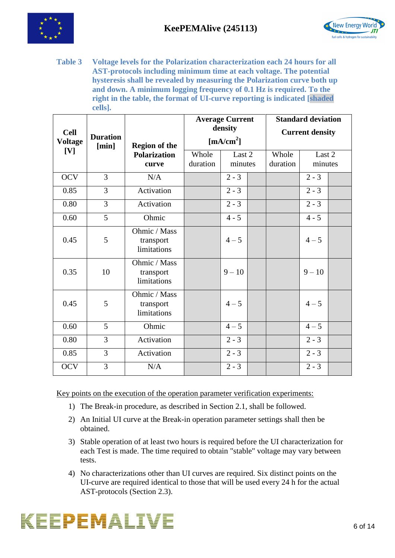



**Table 3 Voltage levels for the Polarization characterization each 24 hours for all AST-protocols including minimum time at each voltage. The potential hysteresis shall be revealed by measuring the Polarization curve both up and down. A minimum logging frequency of 0.1 Hz is required. To the right in the table, the format of UI-curve reporting is indicated [shaded cells].**

| <b>Cell</b><br><b>Voltage</b> | <b>Duration</b><br>[min] | <b>Region of the</b>                     |                   | <b>Average Current</b><br>density<br>$\left[\text{mA/cm}^2\right]$ |                   | <b>Standard deviation</b><br><b>Current density</b> |  |
|-------------------------------|--------------------------|------------------------------------------|-------------------|--------------------------------------------------------------------|-------------------|-----------------------------------------------------|--|
| [V]                           |                          | <b>Polarization</b><br>curve             | Whole<br>duration | Last 2<br>minutes                                                  | Whole<br>duration | Last 2<br>minutes                                   |  |
| <b>OCV</b>                    | $\overline{3}$           | N/A                                      |                   | $2 - 3$                                                            |                   | $2 - 3$                                             |  |
| 0.85                          | 3                        | Activation                               |                   | $2 - 3$                                                            |                   | $2 - 3$                                             |  |
| 0.80                          | 3                        | Activation                               |                   | $\overline{2} - 3$                                                 |                   | $\overline{2} - 3$                                  |  |
| 0.60                          | 5                        | Ohmic                                    |                   | $4 - 5$                                                            |                   | $\overline{4} - 5$                                  |  |
| 0.45                          | 5                        | Ohmic / Mass<br>transport<br>limitations |                   | $4 - 5$                                                            |                   | $4 - 5$                                             |  |
| 0.35                          | 10                       | Ohmic / Mass<br>transport<br>limitations |                   | $9 - 10$                                                           |                   | $9 - 10$                                            |  |
| 0.45                          | 5                        | Ohmic / Mass<br>transport<br>limitations |                   | $4 - 5$                                                            |                   | $4 - 5$                                             |  |
| 0.60                          | 5                        | Ohmic                                    |                   | $4 - 5$                                                            |                   | $4 - 5$                                             |  |
| 0.80                          | 3                        | Activation                               |                   | $2 - 3$                                                            |                   | $2 - 3$                                             |  |
| 0.85                          | 3                        | Activation                               |                   | $2 - 3$                                                            |                   | $2 - 3$                                             |  |
| <b>OCV</b>                    | 3                        | N/A                                      |                   | $2 - 3$                                                            |                   | $2 - 3$                                             |  |

Key points on the execution of the operation parameter verification experiments:

- 1) The Break-in procedure, as described in Section [2.1,](#page-2-2) shall be followed.
- 2) An Initial UI curve at the Break-in operation parameter settings shall then be obtained.
- 3) Stable operation of at least two hours is required before the UI characterization for each Test is made. The time required to obtain "stable" voltage may vary between tests.
- 4) No characterizations other than UI curves are required. Six distinct points on the UI-curve are required identical to those that will be used every 24 h for the actual AST-protocols (Section [2.3\)](#page-6-0).

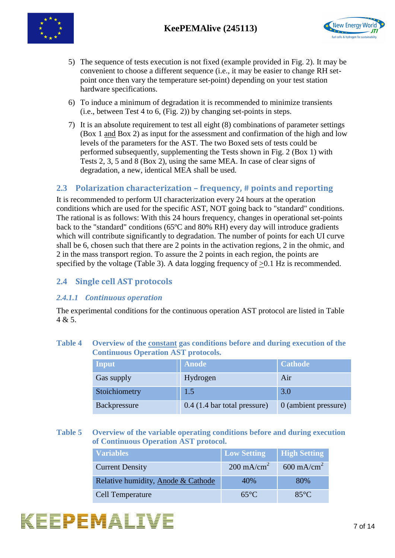



- 5) The sequence of tests execution is not fixed (example provided in [Fig. 2\)](#page-4-0). It may be convenient to choose a different sequence (i.e., it may be easier to change RH setpoint once then vary the temperature set-point) depending on your test station hardware specifications.
- 6) To induce a minimum of degradation it is recommended to minimize transients (i.e., between Test 4 to 6, [\(Fig. 2\)](#page-4-0)) by changing set-points in steps.
- 7) It is an absolute requirement to test all eight (8) combinations of parameter settings (Box 1 and Box 2) as input for the assessment and confirmation of the high and low levels of the parameters for the AST. The two Boxed sets of tests could be performed subsequently, supplementing the Tests shown in [Fig. 2](#page-4-0) (Box 1) with Tests 2, 3, 5 and 8 (Box 2), using the same MEA. In case of clear signs of degradation, a new, identical MEA shall be used.

### <span id="page-6-0"></span>**2.3 Polarization characterization – frequency, # points and reporting**

It is recommended to perform UI characterization every 24 hours at the operation conditions which are used for the specific AST, NOT going back to "standard" conditions. The rational is as follows: With this 24 hours frequency, changes in operational set-points back to the "standard" conditions (65ºC and 80% RH) every day will introduce gradients which will contribute significantly to degradation. The number of points for each UI curve shall be 6, chosen such that there are 2 points in the activation regions, 2 in the ohmic, and 2 in the mass transport region. To assure the 2 points in each region, the points are specified by the voltage (Table 3). A data logging frequency of  $>0.1$  Hz is recommended.

### <span id="page-6-1"></span>**2.4 Single cell AST protocols**

#### *2.4.1.1 Continuous operation*

The experimental conditions for the continuous operation AST protocol are listed in [Table](#page-6-2)  [4](#page-6-2) & 5.

#### <span id="page-6-2"></span>**Table 4 Overview of the constant gas conditions before and during execution of the Continuous Operation AST protocols.**

| Input         | <b>Anode</b>                   | <b>Cathode</b>       |
|---------------|--------------------------------|----------------------|
| Gas supply    | Hydrogen                       | Air                  |
| Stoichiometry | 1.5                            | 3.0                  |
| Backpressure  | $0.4$ (1.4 bar total pressure) | 0 (ambient pressure) |

**Table 5 Overview of the variable operating conditions before and during execution of Continuous Operation AST protocol.**

| <b>Variables</b>                   | Low Setting           | High Setting          |
|------------------------------------|-----------------------|-----------------------|
| <b>Current Density</b>             | $200 \text{ mA/cm}^2$ | $600 \text{ mA/cm}^2$ |
| Relative humidity, Anode & Cathode | 40%                   | 80%                   |
| <b>Cell Temperature</b>            | $65^{\circ}$ C        | $85^{\circ}$ C        |

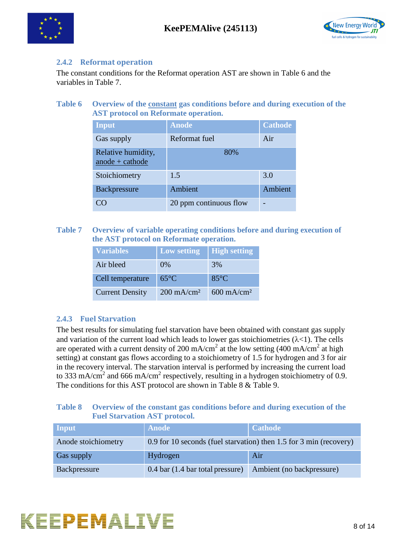



#### <span id="page-7-0"></span>**2.4.2 Reformat operation**

The constant conditions for the Reformat operation AST are shown in Table 6 and the variables in [Table 7.](#page-7-2)

**Table 6 Overview of the constant gas conditions before and during execution of the AST protocol on Reformate operation.**

| Input                                 | <b>Anode</b>           | <b>Cathode</b> |
|---------------------------------------|------------------------|----------------|
| Gas supply                            | Reformat fuel          | Air            |
| Relative humidity,<br>anode + cathode | 80%                    |                |
| Stoichiometry                         | 1.5                    | 3.0            |
| Backpressure                          | Ambient                | Ambient        |
|                                       | 20 ppm continuous flow |                |

<span id="page-7-2"></span>**Table 7 Overview of variable operating conditions before and during execution of the AST protocol on Reformate operation.**

| <b>Variables</b>       | <b>Low setting</b>    | <b>High setting</b>   |
|------------------------|-----------------------|-----------------------|
| Air bleed              | $0\%$                 | 3%                    |
| Cell temperature       | $65^{\circ}$ C        | $85^{\circ}$ C        |
| <b>Current Density</b> | $200 \text{ mA/cm}^2$ | $600 \text{ mA/cm}^2$ |

#### <span id="page-7-1"></span>**2.4.3 Fuel Starvation**

The best results for simulating fuel starvation have been obtained with constant gas supply and variation of the current load which leads to lower gas stoichiometries  $(\lambda < 1)$ . The cells are operated with a current density of 200 mA/cm<sup>2</sup> at the low setting (400 mA/cm<sup>2</sup> at high setting) at constant gas flows according to a stoichiometry of 1.5 for hydrogen and 3 for air in the recovery interval. The starvation interval is performed by increasing the current load to 333 mA/cm<sup>2</sup> and 666 mA/cm<sup>2</sup> respectively, resulting in a hydrogen stoichiometry of 0.9. The conditions for this AST protocol are shown in [Table 8](#page-7-3) & [Table 9.](#page-8-1)

#### <span id="page-7-3"></span>**Table 8 Overview of the constant gas conditions before and during execution of the Fuel Starvation AST protocol.**

| Input               | <b>Anode</b>                                                       | <b>Cathode</b>            |
|---------------------|--------------------------------------------------------------------|---------------------------|
| Anode stoichiometry | 0.9 for 10 seconds (fuel starvation) then 1.5 for 3 min (recovery) |                           |
| Gas supply          | Hydrogen                                                           | Air                       |
| Backpressure        | $0.4$ bar $(1.4$ bar total pressure)                               | Ambient (no backpressure) |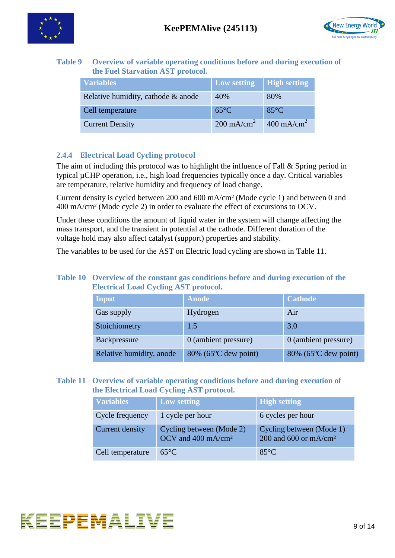



#### <span id="page-8-1"></span>**Table 9 Overview of variable operating conditions before and during execution of the Fuel Starvation AST protocol.**

| <b>Variables</b>                   | <b>Low setting</b>    | <b>High setting</b>   |
|------------------------------------|-----------------------|-----------------------|
| Relative humidity, cathode & anode | 40%                   | 80%                   |
| Cell temperature                   | $65^{\circ}$ C        | $85^{\circ}$ C        |
| <b>Current Density</b>             | $200 \text{ mA/cm}^2$ | $400 \text{ mA/cm}^2$ |

### <span id="page-8-0"></span>**2.4.4 Electrical Load Cycling protocol**

The aim of including this protocol was to highlight the influence of Fall & Spring period in typical µCHP operation, i.e., high load frequencies typically once a day. Critical variables are temperature, relative humidity and frequency of load change.

Current density is cycled between 200 and 600 mA/cm² (Mode cycle 1) and between 0 and 400 mA/cm² (Mode cycle 2) in order to evaluate the effect of excursions to OCV.

Under these conditions the amount of liquid water in the system will change affecting the mass transport, and the transient in potential at the cathode. Different duration of the voltage hold may also affect catalyst (support) properties and stability.

The variables to be used for the AST on Electric load cycling are shown in Table 11.

#### **Table 10 Overview of the constant gas conditions before and during execution of the Electrical Load Cycling AST protocol.**

| Input                    | Anode                | <b>Cathode</b>                    |
|--------------------------|----------------------|-----------------------------------|
| Gas supply               | Hydrogen             | Air                               |
| Stoichiometry            | 1.5                  | 3.0                               |
| Backpressure             | 0 (ambient pressure) | 0 (ambient pressure)              |
| Relative humidity, anode | 80% (65°C dew point) | $80\%$ (65 $\degree$ C dew point) |

#### **Table 11 Overview of variable operating conditions before and during execution of the Electrical Load Cycling AST protocol.**

| <b>Variables</b> | <b>Low setting</b>                                         | <b>High setting</b>                                 |
|------------------|------------------------------------------------------------|-----------------------------------------------------|
| Cycle frequency  | 1 cycle per hour                                           | 6 cycles per hour                                   |
| Current density  | Cycling between (Mode 2)<br>OCV and 400 mA/cm <sup>2</sup> | Cycling between (Mode 1)<br>200 and 600 or $mA/cm2$ |
| Cell temperature | $65^{\circ}C$                                              | $85^{\circ}$ C                                      |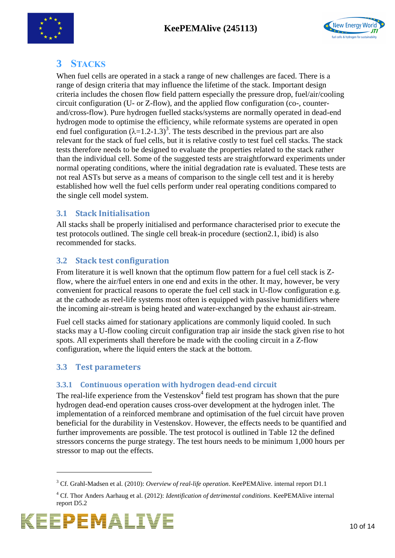



## <span id="page-9-0"></span>**3 STACKS**

When fuel cells are operated in a stack a range of new challenges are faced. There is a range of design criteria that may influence the lifetime of the stack. Important design criteria includes the chosen flow field pattern especially the pressure drop, fuel/air/cooling circuit configuration (U- or Z-flow), and the applied flow configuration (co-, counterand/cross-flow). Pure hydrogen fuelled stacks/systems are normally operated in dead-end hydrogen mode to optimise the efficiency, while reformate systems are operated in open end fuel configuration  $(\lambda=1.2-1.3)^3$ . The tests described in the previous part are also relevant for the stack of fuel cells, but it is relative costly to test fuel cell stacks. The stack tests therefore needs to be designed to evaluate the properties related to the stack rather than the individual cell. Some of the suggested tests are straightforward experiments under normal operating conditions, where the initial degradation rate is evaluated. These tests are not real ASTs but serve as a means of comparison to the single cell test and it is hereby established how well the fuel cells perform under real operating conditions compared to the single cell model system.

## <span id="page-9-1"></span>**3.1 Stack Initialisation**

All stacks shall be properly initialised and performance characterised prior to execute the test protocols outlined. The single cell break-in procedure (section2.1, ibid) is also recommended for stacks.

## <span id="page-9-2"></span>**3.2 Stack test configuration**

From literature it is well known that the optimum flow pattern for a fuel cell stack is Zflow, where the air/fuel enters in one end and exits in the other. It may, however, be very convenient for practical reasons to operate the fuel cell stack in U-flow configuration e.g. at the cathode as reel-life systems most often is equipped with passive humidifiers where the incoming air-stream is being heated and water-exchanged by the exhaust air-stream.

Fuel cell stacks aimed for stationary applications are commonly liquid cooled. In such stacks may a U-flow cooling circuit configuration trap air inside the stack given rise to hot spots. All experiments shall therefore be made with the cooling circuit in a Z-flow configuration, where the liquid enters the stack at the bottom.

## <span id="page-9-3"></span>**3.3 Test parameters**

# <span id="page-9-4"></span>**3.3.1 Continuous operation with hydrogen dead-end circuit**

The real-life experience from the Vestenskov $4$  field test program has shown that the pure hydrogen dead-end operation causes cross-over development at the hydrogen inlet. The implementation of a reinforced membrane and optimisation of the fuel circuit have proven beneficial for the durability in Vestenskov. However, the effects needs to be quantified and further improvements are possible. The test protocol is outlined in Table 12 the defined stressors concerns the purge strategy. The test hours needs to be minimum 1,000 hours per stressor to map out the effects.

<sup>4</sup> Cf. Thor Anders Aarhaug et al. (2012): *Identification of detrimental conditions*. KeePEMAlive internal report D5.2



<u>.</u>

<sup>3</sup> Cf. Grahl-Madsen et al. (2010): *Overview of real-life operation*. KeePEMAlive. internal report D1.1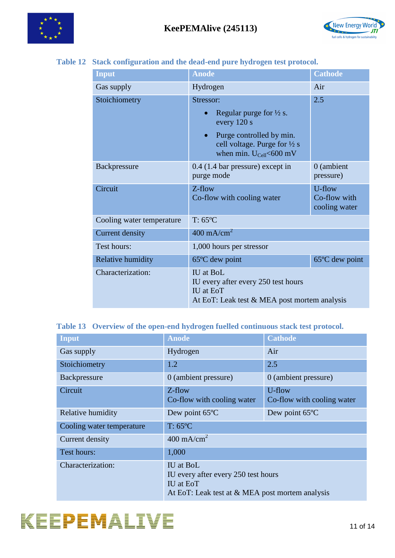



#### **Table 12 Stack configuration and the dead-end pure hydrogen test protocol.**

| Input                     | <b>Anode</b>                                                                                                                                                                              | <b>Cathode</b>                          |
|---------------------------|-------------------------------------------------------------------------------------------------------------------------------------------------------------------------------------------|-----------------------------------------|
| Gas supply                | Hydrogen                                                                                                                                                                                  | Air                                     |
| Stoichiometry             | Stressor:<br>Regular purge for $\frac{1}{2}$ s.<br>$\bullet$<br>every 120 s<br>Purge controlled by min.<br>cell voltage. Purge for $\frac{1}{2}$ s<br>when min. $U_{\text{Cell}}$ <600 mV | 2.5                                     |
| Backpressure              | $0.4$ (1.4 bar pressure) except in<br>purge mode                                                                                                                                          | 0 (ambient<br>pressure)                 |
| Circuit                   | Z-flow<br>Co-flow with cooling water                                                                                                                                                      | U-flow<br>Co-flow with<br>cooling water |
| Cooling water temperature | $T: 65^{\circ}C$                                                                                                                                                                          |                                         |
| <b>Current density</b>    | $400 \text{ mA/cm}^2$                                                                                                                                                                     |                                         |
| Test hours:               | 1,000 hours per stressor                                                                                                                                                                  |                                         |
| Relative humidity         | $65^{\circ}$ C dew point                                                                                                                                                                  | 65°C dew point                          |
| Characterization:         | <b>IU</b> at BoL<br>IU every after every 250 test hours<br><b>IU</b> at EoT<br>At EoT: Leak test & MEA post mortem analysis                                                               |                                         |

### **Table 13 Overview of the open-end hydrogen fuelled continuous stack test protocol.**

| <b>Input</b>              | <b>Anode</b>                                                                                                            | <b>Cathode</b>                       |
|---------------------------|-------------------------------------------------------------------------------------------------------------------------|--------------------------------------|
| Gas supply                | Hydrogen                                                                                                                | Air                                  |
| Stoichiometry             | 1.2                                                                                                                     | 2.5                                  |
| Backpressure              | 0 (ambient pressure)                                                                                                    | 0 (ambient pressure)                 |
| Circuit                   | $Z$ -flow<br>Co-flow with cooling water                                                                                 | U-flow<br>Co-flow with cooling water |
| Relative humidity         | Dew point 65°C                                                                                                          | Dew point 65°C                       |
| Cooling water temperature | $T: 65^{\circ}C$                                                                                                        |                                      |
| Current density           | $400 \text{ mA/cm}^2$                                                                                                   |                                      |
| Test hours:               | 1,000                                                                                                                   |                                      |
| Characterization:         | IU at BoL<br>IU every after every 250 test hours<br><b>IU</b> at EoT<br>At EoT: Leak test at & MEA post mortem analysis |                                      |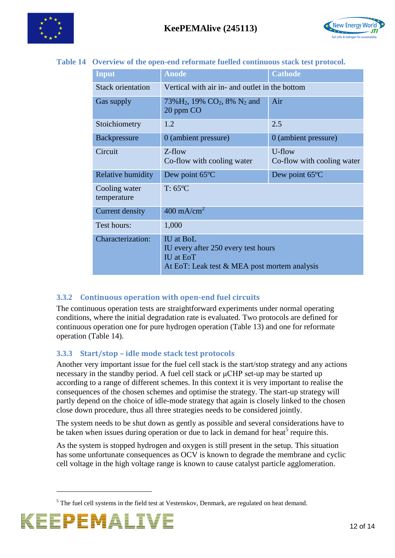



#### **Table 14 Overview of the open-end reformate fuelled continuous stack test protocol.**

| <b>Input</b>                 | <b>Anode</b>                                                                                                                | <b>Cathode</b>                       |
|------------------------------|-----------------------------------------------------------------------------------------------------------------------------|--------------------------------------|
| <b>Stack orientation</b>     | Vertical with air in- and outlet in the bottom                                                                              |                                      |
| Gas supply                   | $73\%$ H <sub>2</sub> , 19% CO <sub>2</sub> , 8% N <sub>2</sub> and<br>20 ppm CO                                            | Air                                  |
| Stoichiometry                | 1.2                                                                                                                         | 2.5                                  |
| <b>Backpressure</b>          | 0 (ambient pressure)                                                                                                        | 0 (ambient pressure)                 |
| Circuit                      | Z-flow<br>Co-flow with cooling water                                                                                        | U-flow<br>Co-flow with cooling water |
| Relative humidity            | Dew point 65°C                                                                                                              | Dew point 65°C                       |
| Cooling water<br>temperature | $T: 65^{\circ}C$                                                                                                            |                                      |
| <b>Current density</b>       | $400 \text{ mA/cm}^2$                                                                                                       |                                      |
| Test hours:                  | 1,000                                                                                                                       |                                      |
| Characterization:            | <b>IU</b> at BoL<br>IU every after 250 every test hours<br><b>IU</b> at EoT<br>At EoT: Leak test & MEA post mortem analysis |                                      |

#### <span id="page-11-0"></span>**3.3.2 Continuous operation with open-end fuel circuits**

The continuous operation tests are straightforward experiments under normal operating conditions, where the initial degradation rate is evaluated. Two protocols are defined for continuous operation one for pure hydrogen operation (Table 13) and one for reformate operation (Table 14).

#### <span id="page-11-1"></span>**3.3.3 Start/stop – idle mode stack test protocols**

Another very important issue for the fuel cell stack is the start/stop strategy and any actions necessary in the standby period. A fuel cell stack or μCHP set-up may be started up according to a range of different schemes. In this context it is very important to realise the consequences of the chosen schemes and optimise the strategy. The start-up strategy will partly depend on the choice of idle-mode strategy that again is closely linked to the chosen close down procedure, thus all three strategies needs to be considered jointly.

The system needs to be shut down as gently as possible and several considerations have to be taken when issues during operation or due to lack in demand for heat<sup>5</sup> require this.

As the system is stopped hydrogen and oxygen is still present in the setup. This situation has some unfortunate consequences as OCV is known to degrade the membrane and cyclic cell voltage in the high voltage range is known to cause catalyst particle agglomeration.

 $<sup>5</sup>$  The fuel cell systems in the field test at Vestenskov, Denmark, are regulated on heat demand.</sup>



1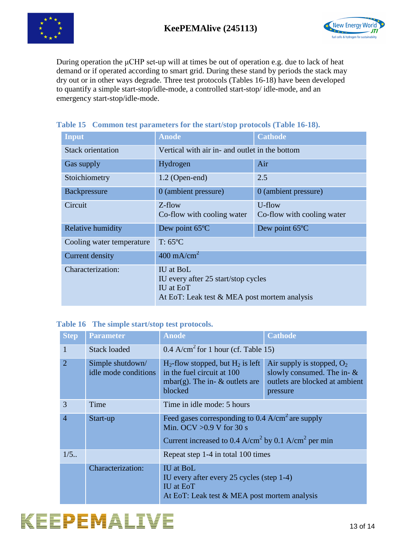



During operation the μCHP set-up will at times be out of operation e.g. due to lack of heat demand or if operated according to smart grid. During these stand by periods the stack may dry out or in other ways degrade. Three test protocols (Tables 16-18) have been developed to quantify a simple start-stop/idle-mode, a controlled start-stop/ idle-mode, and an emergency start-stop/idle-mode.

| <b>Input</b>              | <b>Anode</b>                                                                                                         | <b>Cathode</b>                       |  |
|---------------------------|----------------------------------------------------------------------------------------------------------------------|--------------------------------------|--|
| <b>Stack orientation</b>  | Vertical with air in- and outlet in the bottom                                                                       |                                      |  |
| Gas supply                | Hydrogen                                                                                                             | Air                                  |  |
| Stoichiometry             | $1.2$ (Open-end)                                                                                                     | 2.5                                  |  |
| Backpressure              | 0 (ambient pressure)                                                                                                 | 0 (ambient pressure)                 |  |
| Circuit                   | $Z$ -flow<br>Co-flow with cooling water                                                                              | U-flow<br>Co-flow with cooling water |  |
| Relative humidity         | Dew point 65°C                                                                                                       | Dew point 65°C                       |  |
| Cooling water temperature | $T: 65^{\circ}C$                                                                                                     |                                      |  |
| Current density           | $400 \text{ mA/cm}^2$                                                                                                |                                      |  |
| Characterization:         | IU at BoL<br>IU every after 25 start/stop cycles<br><b>IU</b> at EoT<br>At EoT: Leak test & MEA post mortem analysis |                                      |  |

#### **Table 15 Common test parameters for the start/stop protocols (Table 16-18).**

#### **Table 16 The simple start/stop test protocols.**

| <b>Step</b>    | <b>Parameter</b>                         | <b>Anode</b>                                                                                                                                                                | <b>Cathode</b>                                                                                              |
|----------------|------------------------------------------|-----------------------------------------------------------------------------------------------------------------------------------------------------------------------------|-------------------------------------------------------------------------------------------------------------|
| 1              | <b>Stack loaded</b>                      | 0.4 A/cm <sup>2</sup> for 1 hour (cf. Table 15)                                                                                                                             |                                                                                                             |
| 2              | Simple shutdown/<br>idle mode conditions | $H_2$ -flow stopped, but $H_2$ is left<br>in the fuel circuit at 100<br>mbar(g). The in- $\&$ outlets are<br>blocked                                                        | Air supply is stopped, $O_2$<br>slowly consumed. The in- $\&$<br>outlets are blocked at ambient<br>pressure |
| 3              | Time                                     | Time in idle mode: 5 hours                                                                                                                                                  |                                                                                                             |
| $\overline{4}$ | Start-up                                 | Feed gases corresponding to $0.4$ A/cm <sup>2</sup> are supply<br>Min. OCV $>0.9$ V for 30 s<br>Current increased to 0.4 A/cm <sup>2</sup> by 0.1 A/cm <sup>2</sup> per min |                                                                                                             |
| $1/5$ .        |                                          | Repeat step 1-4 in total 100 times                                                                                                                                          |                                                                                                             |
|                | Characterization:                        | <b>IU</b> at BoL<br>IU every after every 25 cycles (step 1-4)<br><b>IU</b> at EoT<br>At EoT: Leak test & MEA post mortem analysis                                           |                                                                                                             |